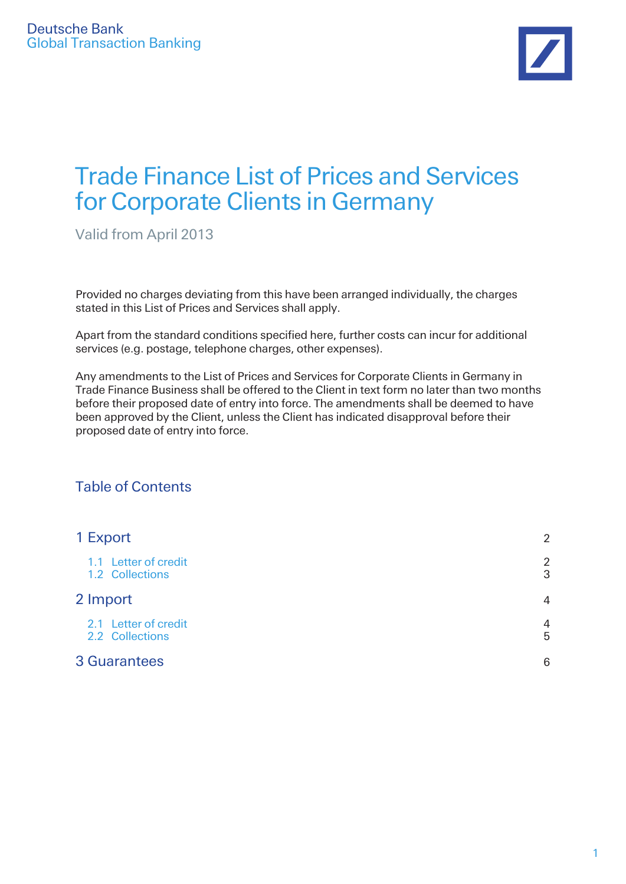

# Trade Finance List of Prices and Services for Corporate Clients in Germany

Valid from April 2013

Provided no charges deviating from this have been arranged individually, the charges stated in this List of Prices and Services shall apply.

Apart from the standard conditions specified here, further costs can incur for additional services (e.g. postage, telephone charges, other expenses).

Any amendments to the List of Prices and Services for Corporate Clients in Germany in Trade Finance Business shall be offered to the Client in text form no later than two months before their proposed date of entry into force. The amendments shall be deemed to have been approved by the Client, unless the Client has indicated disapproval before their proposed date of entry into force.

### Table of Contents

| 1 Export                                | $\overline{2}$      |
|-----------------------------------------|---------------------|
| 1.1 Letter of credit<br>1.2 Collections | $\overline{2}$<br>3 |
| 2 Import                                | $\overline{4}$      |
| 2.1 Letter of credit<br>2.2 Collections | $\overline{4}$<br>5 |
| <b>3 Guarantees</b>                     | 6                   |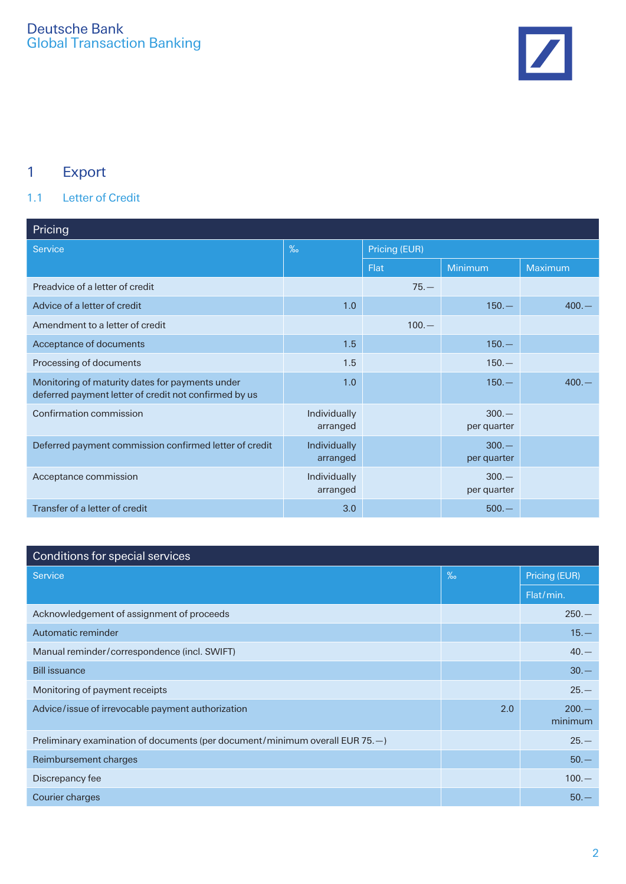

# 1 Export

### 1.1 Letter of Credit

| Pricing                                                                                                  |                          |               |                        |                |  |
|----------------------------------------------------------------------------------------------------------|--------------------------|---------------|------------------------|----------------|--|
| <b>Service</b>                                                                                           | $\%$                     | Pricing (EUR) |                        |                |  |
|                                                                                                          |                          | <b>Flat</b>   | Minimum                | <b>Maximum</b> |  |
| Preadvice of a letter of credit                                                                          |                          | $75 -$        |                        |                |  |
| Advice of a letter of credit                                                                             | 1.0                      |               | $150 -$                | $400 -$        |  |
| Amendment to a letter of credit                                                                          |                          | $100. -$      |                        |                |  |
| Acceptance of documents                                                                                  | 1.5                      |               | $150 -$                |                |  |
| Processing of documents                                                                                  | 1.5                      |               | $150 -$                |                |  |
| Monitoring of maturity dates for payments under<br>deferred payment letter of credit not confirmed by us | 1.0                      |               | $150 -$                | $400 -$        |  |
| Confirmation commission                                                                                  | Individually<br>arranged |               | $300 -$<br>per quarter |                |  |
| Deferred payment commission confirmed letter of credit                                                   | Individually<br>arranged |               | $300 -$<br>per quarter |                |  |
| Acceptance commission                                                                                    | Individually<br>arranged |               | $300 -$<br>per quarter |                |  |
| Transfer of a letter of credit                                                                           | 3.0                      |               | $500. -$               |                |  |

| Conditions for special services                                                |      |                    |
|--------------------------------------------------------------------------------|------|--------------------|
| Service                                                                        | $\%$ | Pricing (EUR)      |
|                                                                                |      | Flat/min.          |
| Acknowledgement of assignment of proceeds                                      |      | $250 -$            |
| Automatic reminder                                                             |      | $15. -$            |
| Manual reminder/correspondence (incl. SWIFT)                                   |      | $40 -$             |
| <b>Bill issuance</b>                                                           |      | $30 -$             |
| Monitoring of payment receipts                                                 |      | $25 -$             |
| Advice/issue of irrevocable payment authorization                              | 2.0  | $200 -$<br>minimum |
| Preliminary examination of documents (per document/minimum overall EUR $75.$ ) |      | $25 -$             |
| Reimbursement charges                                                          |      | $50 -$             |
| Discrepancy fee                                                                |      | $100 -$            |
| Courier charges                                                                |      | $50 -$             |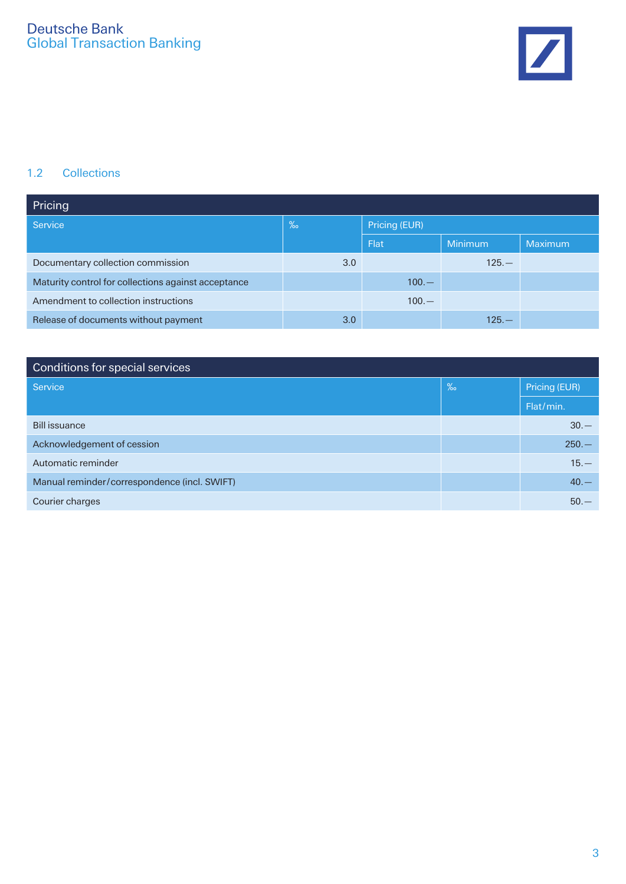

#### 1.2 Collections

| Pricing                                             |     |               |         |         |
|-----------------------------------------------------|-----|---------------|---------|---------|
| Service                                             | %   | Pricing (EUR) |         |         |
|                                                     |     | <b>Flat</b>   | Minimum | Maximum |
| Documentary collection commission                   | 3.0 |               | $125 -$ |         |
| Maturity control for collections against acceptance |     | $100 -$       |         |         |
| Amendment to collection instructions                |     | $100 -$       |         |         |
| Release of documents without payment                | 3.0 |               | $125 -$ |         |

| Conditions for special services              |      |               |
|----------------------------------------------|------|---------------|
| Service                                      | $\%$ | Pricing (EUR) |
|                                              |      | Flat/min.     |
| <b>Bill issuance</b>                         |      | $30 -$        |
| Acknowledgement of cession                   |      | $250 -$       |
| Automatic reminder                           |      | $15. -$       |
| Manual reminder/correspondence (incl. SWIFT) |      | $40. -$       |
| Courier charges                              |      | $50 -$        |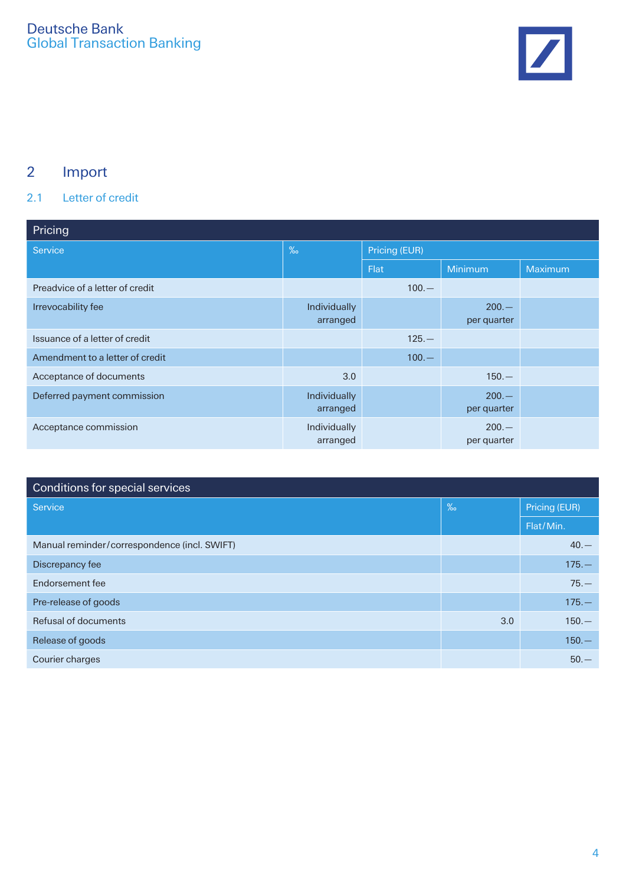

# 2 Import

### 2.1 Letter of credit

| Pricing                         |                          |               |                        |         |  |
|---------------------------------|--------------------------|---------------|------------------------|---------|--|
| Service                         | $\%$                     | Pricing (EUR) |                        |         |  |
|                                 |                          | <b>Flat</b>   | Minimum                | Maximum |  |
| Preadvice of a letter of credit |                          | $100 -$       |                        |         |  |
| Irrevocability fee              | Individually<br>arranged |               | $200 -$<br>per quarter |         |  |
| Issuance of a letter of credit  |                          | $125 -$       |                        |         |  |
| Amendment to a letter of credit |                          | $100 -$       |                        |         |  |
| Acceptance of documents         | 3.0                      |               | $150 -$                |         |  |
| Deferred payment commission     | Individually<br>arranged |               | $200 -$<br>per quarter |         |  |
| Acceptance commission           | Individually<br>arranged |               | $200 -$<br>per quarter |         |  |

| Conditions for special services              |      |               |  |
|----------------------------------------------|------|---------------|--|
| Service                                      | $\%$ | Pricing (EUR) |  |
|                                              |      | Flat/Min.     |  |
| Manual reminder/correspondence (incl. SWIFT) |      | $40 -$        |  |
| Discrepancy fee                              |      | $175. -$      |  |
| Endorsement fee                              |      | $75 -$        |  |
| Pre-release of goods                         |      | $175. -$      |  |
| Refusal of documents                         | 3.0  | $150 -$       |  |
| Release of goods                             |      | $150 -$       |  |
| Courier charges                              |      | $50 -$        |  |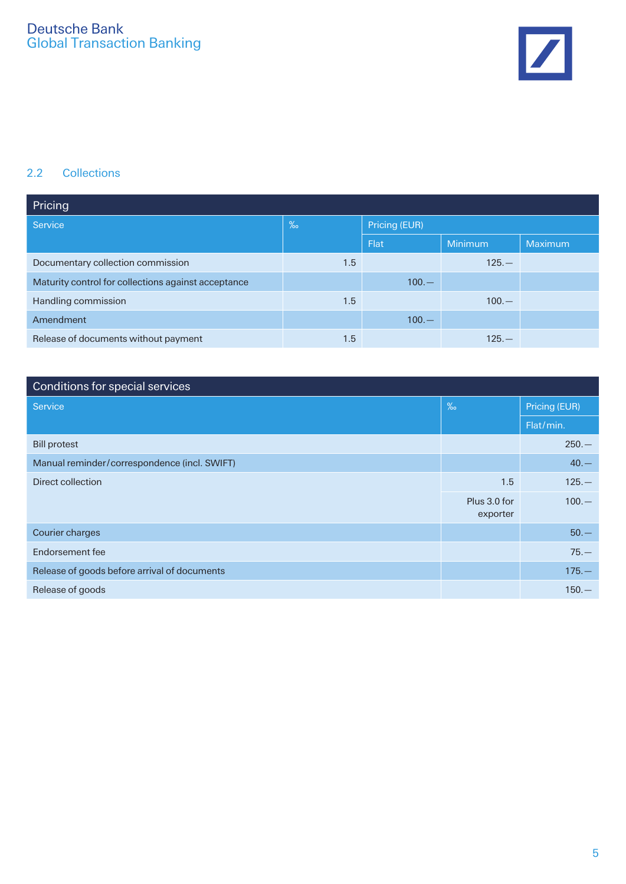

#### 2.2 Collections

| Pricing                                             |      |               |         |                |
|-----------------------------------------------------|------|---------------|---------|----------------|
| Service                                             | $\%$ | Pricing (EUR) |         |                |
|                                                     |      | Flat          | Minimum | <b>Maximum</b> |
| Documentary collection commission                   | 1.5  |               | $125 -$ |                |
| Maturity control for collections against acceptance |      | $100 -$       |         |                |
| Handling commission                                 | 1.5  |               | $100 -$ |                |
| Amendment                                           |      | $100 -$       |         |                |
| Release of documents without payment                | 1.5  |               | $125 -$ |                |

| Conditions for special services              |                          |               |
|----------------------------------------------|--------------------------|---------------|
| Service                                      | $\%$                     | Pricing (EUR) |
|                                              |                          | Flat/min.     |
| <b>Bill protest</b>                          |                          | $250 -$       |
| Manual reminder/correspondence (incl. SWIFT) |                          | $40. -$       |
| Direct collection                            | 1.5                      | $125 -$       |
|                                              | Plus 3.0 for<br>exporter | $100. -$      |
| Courier charges                              |                          | $50 -$        |
| Endorsement fee                              |                          | $75. -$       |
| Release of goods before arrival of documents |                          | $175 -$       |
| Release of goods                             |                          | $150 -$       |